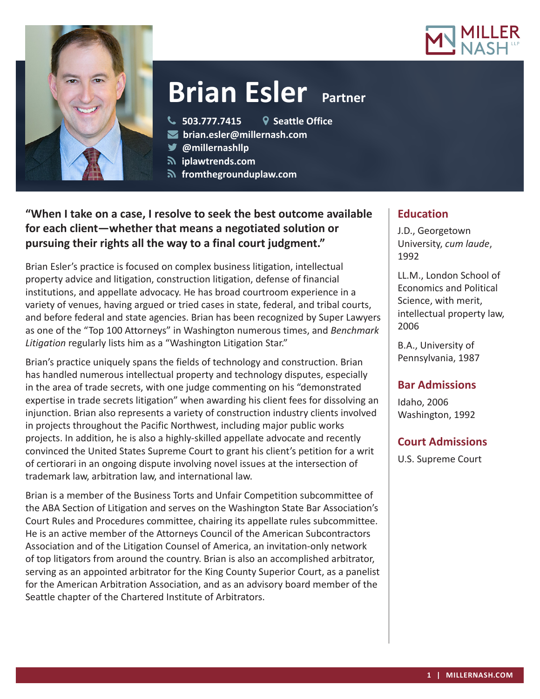



# **Brian Esler** Partner

**503.777.7415 Seattle Office**

**brian.esler@millernash.com** 

- **@millernashllp**
- 
- **iplawtrends.com**
- **fromthegrounduplaw.com**

# **"When I take on a case, I resolve to seek the best outcome available for each client—whether that means a negotiated solution or pursuing their rights all the way to a final court judgment."**

Brian Esler's practice is focused on complex business litigation, intellectual property advice and litigation, construction litigation, defense of financial institutions, and appellate advocacy. He has broad courtroom experience in a variety of venues, having argued or tried cases in state, federal, and tribal courts, and before federal and state agencies. Brian has been recognized by Super Lawyers as one of the "Top 100 Attorneys" in Washington numerous times, and *Benchmark Litigation* regularly lists him as a "Washington Litigation Star."

Brian's practice uniquely spans the fields of technology and construction. Brian has handled numerous intellectual property and technology disputes, especially in the area of trade secrets, with one judge commenting on his "demonstrated expertise in trade secrets litigation" when awarding his client fees for dissolving an injunction. Brian also represents a variety of construction industry clients involved in projects throughout the Pacific Northwest, including major public works projects. In addition, he is also a highly-skilled appellate advocate and recently convinced the United States Supreme Court to grant his client's petition for a writ of certiorari in an ongoing dispute involving novel issues at the intersection of trademark law, arbitration law, and international law.

Brian is a member of the Business Torts and Unfair Competition subcommittee of the ABA Section of Litigation and serves on the Washington State Bar Association's Court Rules and Procedures committee, chairing its appellate rules subcommittee. He is an active member of the Attorneys Council of the American Subcontractors Association and of the Litigation Counsel of America, an invitation-only network of top litigators from around the country. Brian is also an accomplished arbitrator, serving as an appointed arbitrator for the King County Superior Court, as a panelist for the American Arbitration Association, and as an advisory board member of the Seattle chapter of the Chartered Institute of Arbitrators.

## **Education**

J.D., Georgetown University, *cum laude*, 1992

LL.M., London School of Economics and Political Science, with merit, intellectual property law, 2006

B.A., University of Pennsylvania, 1987

# **Bar Admissions**

Idaho, 2006 Washington, 1992

# **Court Admissions**

U.S. Supreme Court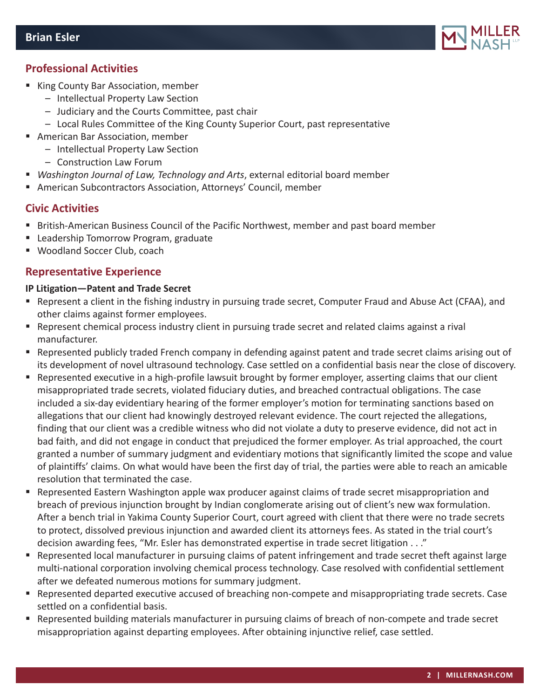

## **Professional Activities**

- King County Bar Association, member
	- Intellectual Property Law Section
	- Judiciary and the Courts Committee, past chair
	- Local Rules Committee of the King County Superior Court, past representative
- American Bar Association, member
	- Intellectual Property Law Section
	- Construction Law Forum
- *Washington Journal of Law, Technology and Arts*, external editorial board member
- American Subcontractors Association, Attorneys' Council, member

## **Civic Activities**

- British-American Business Council of the Pacific Northwest, member and past board member
- **EXTE:** Leadership Tomorrow Program, graduate
- Woodland Soccer Club, coach

### **Representative Experience**

#### **IP Litigation—Patent and Trade Secret**

- Represent a client in the fishing industry in pursuing trade secret, Computer Fraud and Abuse Act (CFAA), and other claims against former employees.
- Represent chemical process industry client in pursuing trade secret and related claims against a rival manufacturer.
- Represented publicly traded French company in defending against patent and trade secret claims arising out of its development of novel ultrasound technology. Case settled on a confidential basis near the close of discovery.
- Represented executive in a high-profile lawsuit brought by former employer, asserting claims that our client misappropriated trade secrets, violated fiduciary duties, and breached contractual obligations. The case included a six-day evidentiary hearing of the former employer's motion for terminating sanctions based on allegations that our client had knowingly destroyed relevant evidence. The court rejected the allegations, finding that our client was a credible witness who did not violate a duty to preserve evidence, did not act in bad faith, and did not engage in conduct that prejudiced the former employer. As trial approached, the court granted a number of summary judgment and evidentiary motions that significantly limited the scope and value of plaintiffs' claims. On what would have been the first day of trial, the parties were able to reach an amicable resolution that terminated the case.
- **P** Represented Eastern Washington apple wax producer against claims of trade secret misappropriation and breach of previous injunction brought by Indian conglomerate arising out of client's new wax formulation. After a bench trial in Yakima County Superior Court, court agreed with client that there were no trade secrets to protect, dissolved previous injunction and awarded client its attorneys fees. As stated in the trial court's decision awarding fees, "Mr. Esler has demonstrated expertise in trade secret litigation . . ."
- Represented local manufacturer in pursuing claims of patent infringement and trade secret theft against large multi-national corporation involving chemical process technology. Case resolved with confidential settlement after we defeated numerous motions for summary judgment.
- **•** Represented departed executive accused of breaching non-compete and misappropriating trade secrets. Case settled on a confidential basis.
- Represented building materials manufacturer in pursuing claims of breach of non-compete and trade secret misappropriation against departing employees. After obtaining injunctive relief, case settled.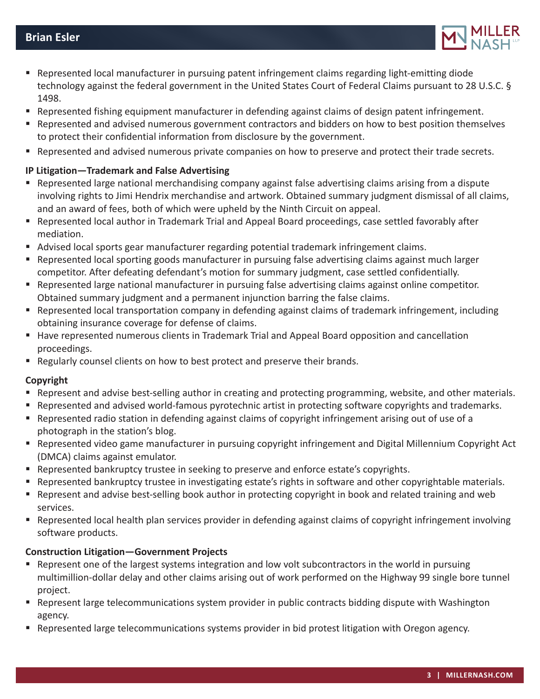

- **Parager 20 Ferret Engils 20 Ferret Plancification Represent Ferret States 1** Ferret emitting diode Ferret Represent ting diode technology against the federal government in the United States Court of Federal Claims pursuant to 28 U.S.C. § 1498.
- Represented fishing equipment manufacturer in defending against claims of design patent infringement.
- Represented and advised numerous government contractors and bidders on how to best position themselves to protect their confidential information from disclosure by the government.
- Represented and advised numerous private companies on how to preserve and protect their trade secrets.

### **IP Litigation—Trademark and False Advertising**

- Represented large national merchandising company against false advertising claims arising from a dispute involving rights to Jimi Hendrix merchandise and artwork. Obtained summary judgment dismissal of all claims, and an award of fees, both of which were upheld by the Ninth Circuit on appeal.
- Represented local author in Trademark Trial and Appeal Board proceedings, case settled favorably after mediation.
- Advised local sports gear manufacturer regarding potential trademark infringement claims.
- Represented local sporting goods manufacturer in pursuing false advertising claims against much larger competitor. After defeating defendant's motion for summary judgment, case settled confidentially.
- Represented large national manufacturer in pursuing false advertising claims against online competitor. Obtained summary judgment and a permanent injunction barring the false claims.
- Represented local transportation company in defending against claims of trademark infringement, including obtaining insurance coverage for defense of claims.
- Have represented numerous clients in Trademark Trial and Appeal Board opposition and cancellation proceedings.
- Regularly counsel clients on how to best protect and preserve their brands.

#### **Copyright**

- Represent and advise best-selling author in creating and protecting programming, website, and other materials.
- **Represented and advised world-famous pyrotechnic artist in protecting software copyrights and trademarks.**
- Represented radio station in defending against claims of copyright infringement arising out of use of a photograph in the station's blog.
- Represented video game manufacturer in pursuing copyright infringement and Digital Millennium Copyright Act (DMCA) claims against emulator.
- **Represented bankruptcy trustee in seeking to preserve and enforce estate's copyrights.**
- Represented bankruptcy trustee in investigating estate's rights in software and other copyrightable materials.
- Represent and advise best-selling book author in protecting copyright in book and related training and web services.
- Represented local health plan services provider in defending against claims of copyright infringement involving software products.

## **Construction Litigation—Government Projects**

- Represent one of the largest systems integration and low volt subcontractors in the world in pursuing multimillion-dollar delay and other claims arising out of work performed on the Highway 99 single bore tunnel project.
- **EXECT** Represent large telecommunications system provider in public contracts bidding dispute with Washington agency.
- **EXECT** Represented large telecommunications systems provider in bid protest litigation with Oregon agency.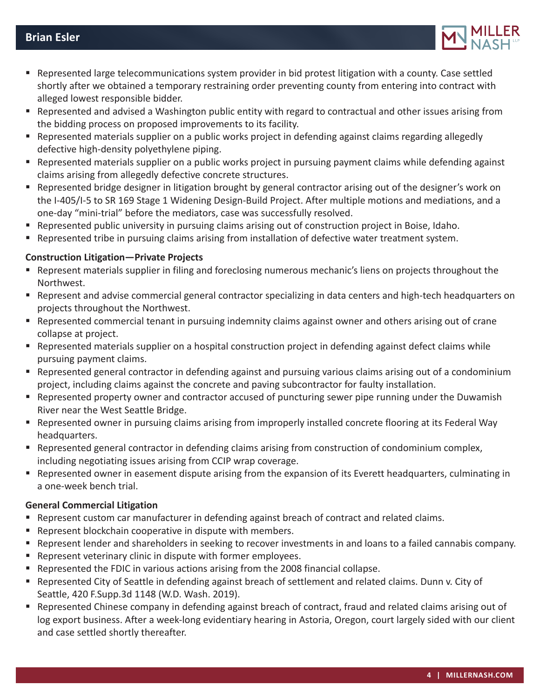

- Represented large telecommunications system provider in bid protest litigation with a county. Case settled shortly after we obtained a temporary restraining order preventing county from entering into contract with alleged lowest responsible bidder.
- Represented and advised a Washington public entity with regard to contractual and other issues arising from the bidding process on proposed improvements to its facility.
- Represented materials supplier on a public works project in defending against claims regarding allegedly defective high-density polyethylene piping.
- Represented materials supplier on a public works project in pursuing payment claims while defending against claims arising from allegedly defective concrete structures.
- Represented bridge designer in litigation brought by general contractor arising out of the designer's work on the I-405/I-5 to SR 169 Stage 1 Widening Design-Build Project. After multiple motions and mediations, and a one-day "mini-trial" before the mediators, case was successfully resolved.
- Represented public university in pursuing claims arising out of construction project in Boise, Idaho.
- Represented tribe in pursuing claims arising from installation of defective water treatment system.

#### **Construction Litigation—Private Projects**

- Represent materials supplier in filing and foreclosing numerous mechanic's liens on projects throughout the Northwest.
- Represent and advise commercial general contractor specializing in data centers and high-tech headquarters on projects throughout the Northwest.
- Represented commercial tenant in pursuing indemnity claims against owner and others arising out of crane collapse at project.
- Represented materials supplier on a hospital construction project in defending against defect claims while pursuing payment claims.
- Represented general contractor in defending against and pursuing various claims arising out of a condominium project, including claims against the concrete and paving subcontractor for faulty installation.
- **Represented property owner and contractor accused of puncturing sewer pipe running under the Duwamish** River near the West Seattle Bridge.
- Represented owner in pursuing claims arising from improperly installed concrete flooring at its Federal Way headquarters.
- Represented general contractor in defending claims arising from construction of condominium complex, including negotiating issues arising from CCIP wrap coverage.
- Represented owner in easement dispute arising from the expansion of its Everett headquarters, culminating in a one-week bench trial.

#### **General Commercial Litigation**

- **•** Represent custom car manufacturer in defending against breach of contract and related claims.
- **EXECTE:** Represent blockchain cooperative in dispute with members.
- Represent lender and shareholders in seeking to recover investments in and loans to a failed cannabis company.
- **EXECTE:** Represent veterinary clinic in dispute with former employees.
- Represented the FDIC in various actions arising from the 2008 financial collapse.
- Represented City of Seattle in defending against breach of settlement and related claims. Dunn v. City of Seattle, 420 F.Supp.3d 1148 (W.D. Wash. 2019).
- Represented Chinese company in defending against breach of contract, fraud and related claims arising out of log export business. After a week-long evidentiary hearing in Astoria, Oregon, court largely sided with our client and case settled shortly thereafter.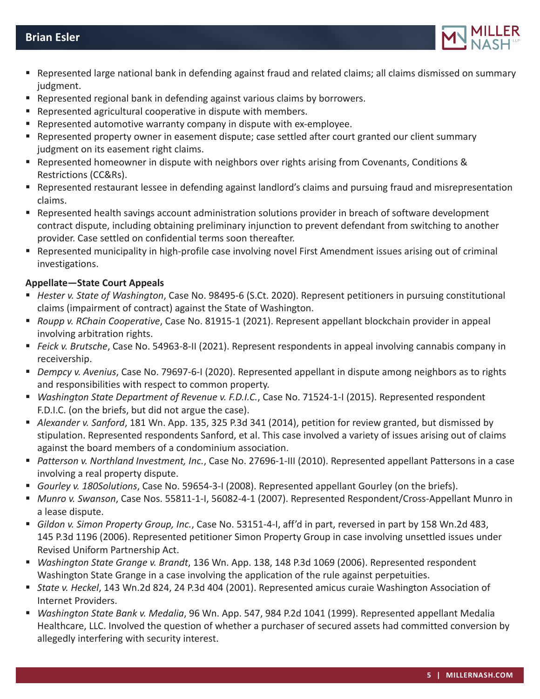

- Represented large national bank in defending against fraud and related claims; all claims dismissed on summary judgment.
- **•** Represented regional bank in defending against various claims by borrowers.
- Represented agricultural cooperative in dispute with members.
- Represented automotive warranty company in dispute with ex-employee.
- Represented property owner in easement dispute; case settled after court granted our client summary judgment on its easement right claims.
- Represented homeowner in dispute with neighbors over rights arising from Covenants, Conditions & Restrictions (CC&Rs).
- Represented restaurant lessee in defending against landlord's claims and pursuing fraud and misrepresentation claims.
- Represented health savings account administration solutions provider in breach of software development contract dispute, including obtaining preliminary injunction to prevent defendant from switching to another provider. Case settled on confidential terms soon thereafter.
- Represented municipality in high-profile case involving novel First Amendment issues arising out of criminal investigations.

#### **Appellate—State Court Appeals**

- *Hester v. State of Washington*, Case No. 98495-6 (S.Ct. 2020). Represent petitioners in pursuing constitutional claims (impairment of contract) against the State of Washington.
- *Roupp v. RChain Cooperative*, Case No. 81915-1 (2021). Represent appellant blockchain provider in appeal involving arbitration rights.
- *Feick v. Brutsche*, Case No. 54963-8-II (2021). Represent respondents in appeal involving cannabis company in receivership.
- *Dempcy v. Avenius*, Case No. 79697-6-I (2020). Represented appellant in dispute among neighbors as to rights and responsibilities with respect to common property.
- *Washington State Department of Revenue v. F.D.I.C.*, Case No. 71524-1-I (2015). Represented respondent F.D.I.C. (on the briefs, but did not argue the case).
- *Alexander v. Sanford*, 181 Wn. App. 135, 325 P.3d 341 (2014), petition for review granted, but dismissed by stipulation. Represented respondents Sanford, et al. This case involved a variety of issues arising out of claims against the board members of a condominium association.
- *Patterson v. Northland Investment, Inc.*, Case No. 27696-1-III (2010). Represented appellant Pattersons in a case involving a real property dispute.
- *Gourley v. 180Solutions*, Case No. 59654-3-I (2008). Represented appellant Gourley (on the briefs).
- *Munro v. Swanson*, Case Nos. 55811-1-I, 56082-4-1 (2007). Represented Respondent/Cross-Appellant Munro in a lease dispute.
- *Gildon v. Simon Property Group, Inc.*, Case No. 53151-4-I, aff'd in part, reversed in part by 158 Wn.2d 483, 145 P.3d 1196 (2006). Represented petitioner Simon Property Group in case involving unsettled issues under Revised Uniform Partnership Act.
- *Washington State Grange v. Brandt*, 136 Wn. App. 138, 148 P.3d 1069 (2006). Represented respondent Washington State Grange in a case involving the application of the rule against perpetuities.
- *State v. Heckel*, 143 Wn.2d 824, 24 P.3d 404 (2001). Represented amicus curaie Washington Association of Internet Providers.
- *Washington State Bank v. Medalia*, 96 Wn. App. 547, 984 P.2d 1041 (1999). Represented appellant Medalia Healthcare, LLC. Involved the question of whether a purchaser of secured assets had committed conversion by allegedly interfering with security interest.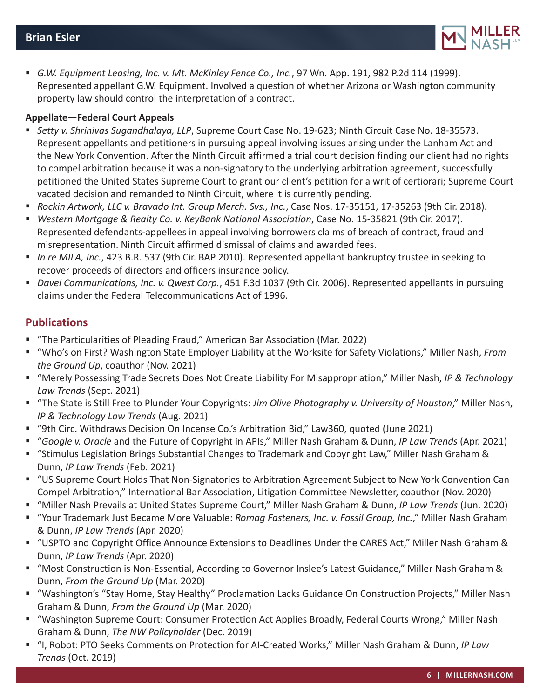

 *G.W. Equipment Leasing, Inc. v. Mt. McKinley Fence Co., Inc.*, 97 Wn. App. 191, 982 P.2d 114 (1999). Represented appellant G.W. Equipment. Involved a question of whether Arizona or Washington community property law should control the interpretation of a contract.

#### **Appellate—Federal Court Appeals**

- *Setty v. Shrinivas Sugandhalaya, LLP*, Supreme Court Case No. 19-623; Ninth Circuit Case No. 18-35573. Represent appellants and petitioners in pursuing appeal involving issues arising under the Lanham Act and the New York Convention. After the Ninth Circuit affirmed a trial court decision finding our client had no rights to compel arbitration because it was a non-signatory to the underlying arbitration agreement, successfully petitioned the United States Supreme Court to grant our client's petition for a writ of certiorari; Supreme Court vacated decision and remanded to Ninth Circuit, where it is currently pending.
- *Rockin Artwork, LLC v. Bravado Int. Group Merch. Svs., Inc.*, Case Nos. 17-35151, 17-35263 (9th Cir. 2018).
- *Western Mortgage & Realty Co. v. KeyBank National Association*, Case No. 15-35821 (9th Cir. 2017). Represented defendants-appellees in appeal involving borrowers claims of breach of contract, fraud and misrepresentation. Ninth Circuit affirmed dismissal of claims and awarded fees.
- *In re MILA, Inc.*, 423 B.R. 537 (9th Cir. BAP 2010). Represented appellant bankruptcy trustee in seeking to recover proceeds of directors and officers insurance policy.
- *Davel Communications, Inc. v. Qwest Corp.*, 451 F.3d 1037 (9th Cir. 2006). Represented appellants in pursuing claims under the Federal Telecommunications Act of 1996.

## **Publications**

- "The Particularities of Pleading Fraud," American Bar Association (Mar. 2022)
- "Who's on First? Washington State Employer Liability at the Worksite for Safety Violations," Miller Nash, *From the Ground Up*, coauthor (Nov. 2021)
- "Merely Possessing Trade Secrets Does Not Create Liability For Misappropriation," Miller Nash, *IP & Technology Law Trends* (Sept. 2021)
- "The State is Still Free to Plunder Your Copyrights: *Jim Olive Photography v. University of Houston*," Miller Nash, *IP & Technology Law Trends* (Aug. 2021)
- "9th Circ. Withdraws Decision On Incense Co.'s Arbitration Bid," Law360, quoted (June 2021)
- "*Google v. Oracle* and the Future of Copyright in APIs," Miller Nash Graham & Dunn, *IP Law Trends* (Apr. 2021)
- "Stimulus Legislation Brings Substantial Changes to Trademark and Copyright Law," Miller Nash Graham & Dunn, *IP Law Trends* (Feb. 2021)
- "US Supreme Court Holds That Non-Signatories to Arbitration Agreement Subject to New York Convention Can Compel Arbitration," International Bar Association, Litigation Committee Newsletter, coauthor (Nov. 2020)
- "Miller Nash Prevails at United States Supreme Court," Miller Nash Graham & Dunn, *IP Law Trends* (Jun. 2020)
- "Your Trademark Just Became More Valuable: *Romag Fasteners, Inc. v. Fossil Group, Inc.*," Miller Nash Graham & Dunn, *IP Law Trends* (Apr. 2020)
- "USPTO and Copyright Office Announce Extensions to Deadlines Under the CARES Act," Miller Nash Graham & Dunn, *IP Law Trends* (Apr. 2020)
- "Most Construction is Non-Essential, According to Governor Inslee's Latest Guidance," Miller Nash Graham & Dunn, *From the Ground Up* (Mar. 2020)
- "Washington's "Stay Home, Stay Healthy" Proclamation Lacks Guidance On Construction Projects," Miller Nash Graham & Dunn, *From the Ground Up* (Mar. 2020)
- "Washington Supreme Court: Consumer Protection Act Applies Broadly, Federal Courts Wrong," Miller Nash Graham & Dunn, *The NW Policyholder* (Dec. 2019)
- "I, Robot: PTO Seeks Comments on Protection for AI-Created Works," Miller Nash Graham & Dunn, *IP Law Trends* (Oct. 2019)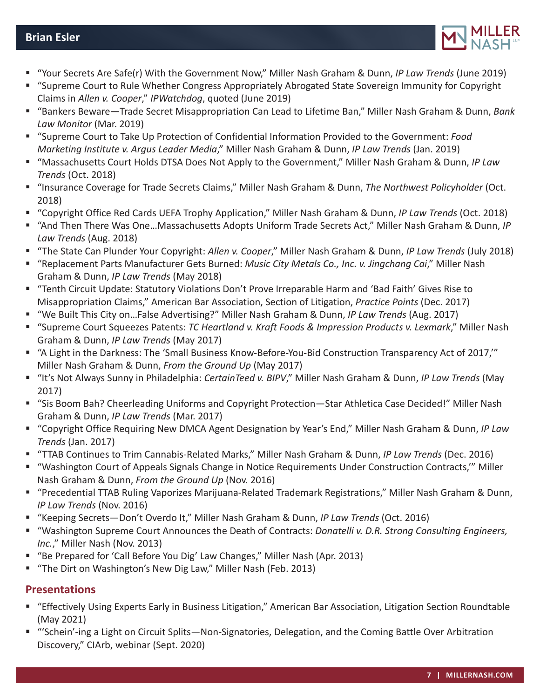## **Brian Esler**



- "Your Secrets Are Safe(r) With the Government Now," Miller Nash Graham & Dunn, *IP Law Trends* (June 2019)
- "Supreme Court to Rule Whether Congress Appropriately Abrogated State Sovereign Immunity for Copyright Claims in *Allen v. Cooper*," *IPWatchdog*, quoted (June 2019)
- "Bankers Beware—Trade Secret Misappropriation Can Lead to Lifetime Ban," Miller Nash Graham & Dunn, *Bank Law Monitor* (Mar. 2019)
- "Supreme Court to Take Up Protection of Confidential Information Provided to the Government: *Food Marketing Institute v. Argus Leader Media*," Miller Nash Graham & Dunn, *IP Law Trends* (Jan. 2019)
- "Massachusetts Court Holds DTSA Does Not Apply to the Government," Miller Nash Graham & Dunn, *IP Law Trends* (Oct. 2018)
- "Insurance Coverage for Trade Secrets Claims," Miller Nash Graham & Dunn, *The Northwest Policyholder* (Oct. 2018)
- "Copyright Office Red Cards UEFA Trophy Application," Miller Nash Graham & Dunn, *IP Law Trends* (Oct. 2018)
- "And Then There Was One…Massachusetts Adopts Uniform Trade Secrets Act," Miller Nash Graham & Dunn, *IP Law Trends* (Aug. 2018)
- "The State Can Plunder Your Copyright: *Allen v. Cooper*," Miller Nash Graham & Dunn, *IP Law Trends* (July 2018)
- "Replacement Parts Manufacturer Gets Burned: *Music City Metals Co., Inc. v. Jingchang Cai*," Miller Nash Graham & Dunn, *IP Law Trends* (May 2018)
- "Tenth Circuit Update: Statutory Violations Don't Prove Irreparable Harm and 'Bad Faith' Gives Rise to Misappropriation Claims," American Bar Association, Section of Litigation, *Practice Points* (Dec. 2017)
- "We Built This City on…False Advertising?" Miller Nash Graham & Dunn, *IP Law Trends* (Aug. 2017)
- "Supreme Court Squeezes Patents: *TC Heartland v. Kraft Foods & Impression Products v. Lexmark*," Miller Nash Graham & Dunn, *IP Law Trends* (May 2017)
- "A Light in the Darkness: The 'Small Business Know-Before-You-Bid Construction Transparency Act of 2017,'" Miller Nash Graham & Dunn, *From the Ground Up* (May 2017)
- "It's Not Always Sunny in Philadelphia: *CertainTeed v. BIPV*," Miller Nash Graham & Dunn, *IP Law Trends* (May 2017)
- "Sis Boom Bah? Cheerleading Uniforms and Copyright Protection—Star Athletica Case Decided!" Miller Nash Graham & Dunn, *IP Law Trends* (Mar. 2017)
- "Copyright Office Requiring New DMCA Agent Designation by Year's End," Miller Nash Graham & Dunn, *IP Law Trends* (Jan. 2017)
- "TTAB Continues to Trim Cannabis-Related Marks," Miller Nash Graham & Dunn, *IP Law Trends* (Dec. 2016)
- "Washington Court of Appeals Signals Change in Notice Requirements Under Construction Contracts,'" Miller Nash Graham & Dunn, *From the Ground Up* (Nov. 2016)
- "Precedential TTAB Ruling Vaporizes Marijuana-Related Trademark Registrations," Miller Nash Graham & Dunn, *IP Law Trends* (Nov. 2016)
- "Keeping Secrets—Don't Overdo It," Miller Nash Graham & Dunn, *IP Law Trends* (Oct. 2016)
- "Washington Supreme Court Announces the Death of Contracts: *Donatelli v. D.R. Strong Consulting Engineers, Inc.*," Miller Nash (Nov. 2013)
- "Be Prepared for 'Call Before You Dig' Law Changes," Miller Nash (Apr. 2013)
- "The Dirt on Washington's New Dig Law," Miller Nash (Feb. 2013)

# **Presentations**

- "Effectively Using Experts Early in Business Litigation," American Bar Association, Litigation Section Roundtable (May 2021)
- "'Schein'-ing a Light on Circuit Splits—Non-Signatories, Delegation, and the Coming Battle Over Arbitration Discovery," CIArb, webinar (Sept. 2020)